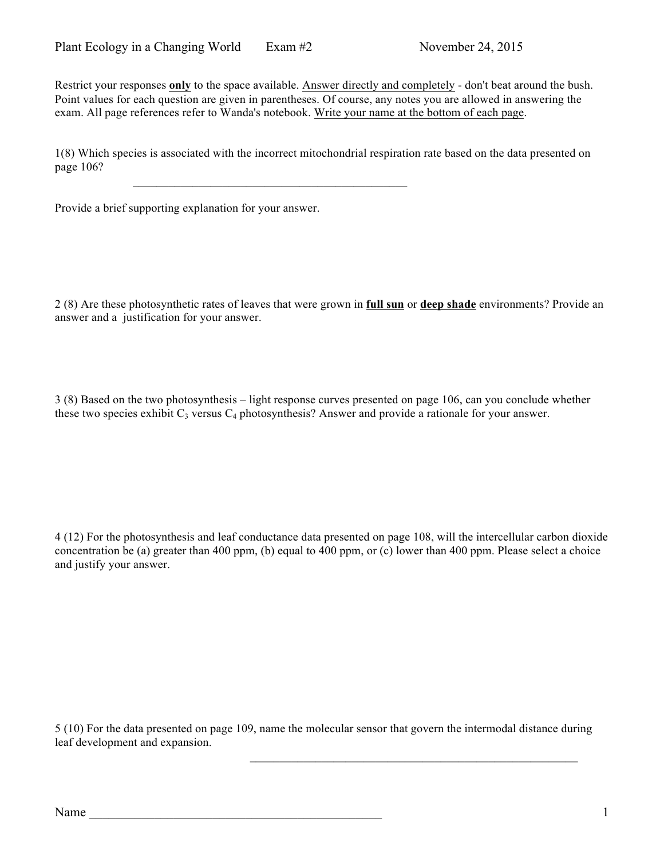Restrict your responses **only** to the space available. Answer directly and completely - don't beat around the bush. Point values for each question are given in parentheses. Of course, any notes you are allowed in answering the exam. All page references refer to Wanda's notebook. Write your name at the bottom of each page.

1(8) Which species is associated with the incorrect mitochondrial respiration rate based on the data presented on page 106?

 $\mathcal{L}_\text{max} = \mathcal{L}_\text{max} = \mathcal{L}_\text{max} = \mathcal{L}_\text{max} = \mathcal{L}_\text{max} = \mathcal{L}_\text{max} = \mathcal{L}_\text{max}$ 

Provide a brief supporting explanation for your answer.

2 (8) Are these photosynthetic rates of leaves that were grown in **full sun** or **deep shade** environments? Provide an answer and a justification for your answer.

3 (8) Based on the two photosynthesis – light response curves presented on page 106, can you conclude whether these two species exhibit  $C_3$  versus  $C_4$  photosynthesis? Answer and provide a rationale for your answer.

4 (12) For the photosynthesis and leaf conductance data presented on page 108, will the intercellular carbon dioxide concentration be (a) greater than 400 ppm, (b) equal to 400 ppm, or (c) lower than 400 ppm. Please select a choice and justify your answer.

5 (10) For the data presented on page 109, name the molecular sensor that govern the intermodal distance during leaf development and expansion.

 $\mathcal{L}_\text{max} = \mathcal{L}_\text{max} = \mathcal{L}_\text{max} = \mathcal{L}_\text{max} = \mathcal{L}_\text{max} = \mathcal{L}_\text{max} = \mathcal{L}_\text{max} = \mathcal{L}_\text{max} = \mathcal{L}_\text{max} = \mathcal{L}_\text{max} = \mathcal{L}_\text{max} = \mathcal{L}_\text{max} = \mathcal{L}_\text{max} = \mathcal{L}_\text{max} = \mathcal{L}_\text{max} = \mathcal{L}_\text{max} = \mathcal{L}_\text{max} = \mathcal{L}_\text{max} = \mathcal{$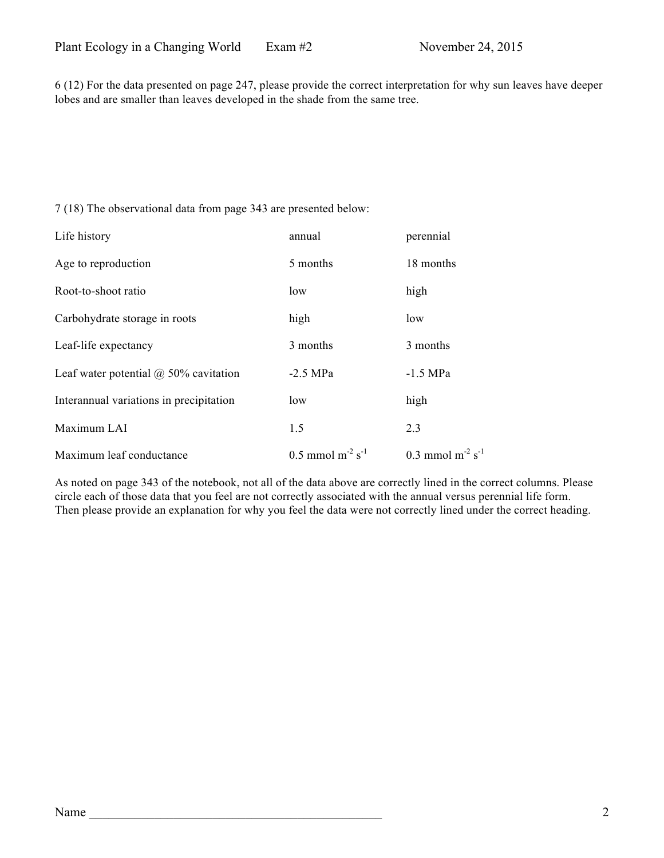6 (12) For the data presented on page 247, please provide the correct interpretation for why sun leaves have deeper lobes and are smaller than leaves developed in the shade from the same tree.

7 (18) The observational data from page 343 are presented below:

| Life history                                 | annual                                     | perennial                         |
|----------------------------------------------|--------------------------------------------|-----------------------------------|
| Age to reproduction                          | 5 months                                   | 18 months                         |
| Root-to-shoot ratio                          | low                                        | high                              |
| Carbohydrate storage in roots                | high                                       | low                               |
| Leaf-life expectancy                         | 3 months                                   | 3 months                          |
| Leaf water potential $\omega$ 50% cavitation | $-2.5$ MPa                                 | $-1.5$ MPa                        |
| Interannual variations in precipitation      | low                                        | high                              |
| Maximum LAI                                  | 1.5                                        | 2.3                               |
| Maximum leaf conductance                     | $0.5$ mmol m <sup>-2</sup> s <sup>-1</sup> | 0.3 mmol $m^{-2}$ s <sup>-1</sup> |

As noted on page 343 of the notebook, not all of the data above are correctly lined in the correct columns. Please circle each of those data that you feel are not correctly associated with the annual versus perennial life form. Then please provide an explanation for why you feel the data were not correctly lined under the correct heading.